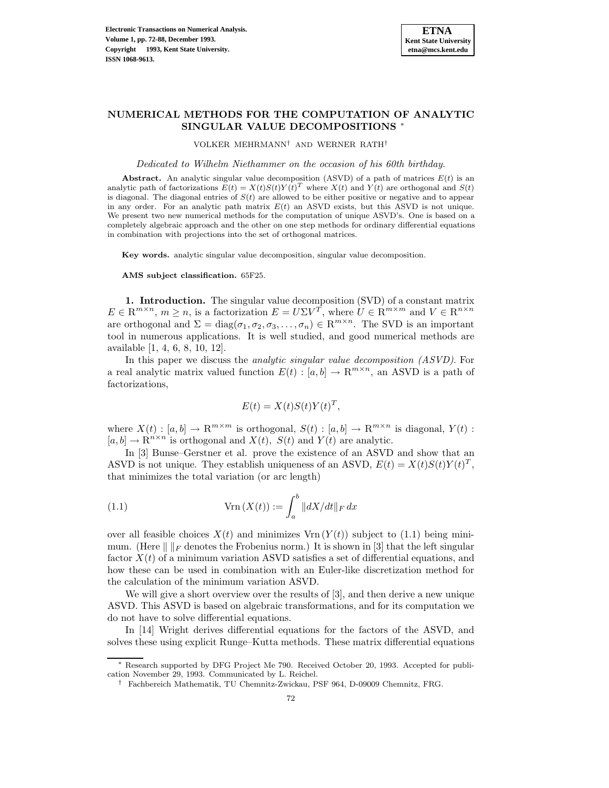

# **NUMERICAL METHODS FOR THE COMPUTATION OF ANALYTIC SINGULAR VALUE DECOMPOSITIONS** <sup>∗</sup>

VOLKER MEHRMANN† AND WERNER RATH†

Dedicated to Wilhelm Niethammer on the occasion of his 60th birthday.

**Abstract.** An analytic singular value decomposition (ASVD) of a path of matrices  $E(t)$  is an analytic path of factorizations  $E(t) = X(t)S(t)Y(t)^T$  where  $X(t)$  and  $Y(t)$  are orthogonal and  $S(t)$ is diagonal. The diagonal entries of  $S(t)$  are allowed to be either positive or negative and to appear in any order. For an analytic path matrix  $E(t)$  an ASVD exists, but this ASVD is not unique. We present two new numerical methods for the computation of unique ASVD's. One is based on a completely algebraic approach and the other on one step methods for ordinary differential equations in combination with projections into the set of orthogonal matrices.

**Key words.** analytic singular value decomposition, singular value decomposition.

**AMS subject classification.** 65F25.

**1. Introduction.** The singular value decomposition (SVD) of a constant matrix  $E \in \mathbb{R}^{m \times n}$ ,  $m \ge n$ , is a factorization  $E = U \Sigma V^T$ , where  $U \in \mathbb{R}^{m \times m}$  and  $V \in \mathbb{R}^{n \times n}$ are orthogonal and  $\Sigma = diag(\sigma_1, \sigma_2, \sigma_3, \ldots, \sigma_n) \in \mathbb{R}^{m \times n}$ . The SVD is an important tool in numerous applications. It is well studied, and good numerical methods are available [1, 4, 6, 8, 10, 12].

In this paper we discuss the analytic singular value decomposition (ASVD). For a real analytic matrix valued function  $E(t):[a,b] \to \mathbb{R}^{m \times n}$ , an ASVD is a path of factorizations,

$$
E(t) = X(t)S(t)Y(t)^T,
$$

where  $X(t): [a,b] \to \mathbb{R}^{m \times m}$  is orthogonal,  $S(t): [a,b] \to \mathbb{R}^{m \times n}$  is diagonal,  $Y(t)$ :  $[a,b] \to \mathbb{R}^{n \times n}$  is orthogonal and  $X(t)$ ,  $S(t)$  and  $Y(t)$  are analytic.

In [3] Bunse–Gerstner et al. prove the existence of an ASVD and show that an ASVD is not unique. They establish uniqueness of an ASVD,  $E(t) = X(t)S(t)Y(t)^T$ , that minimizes the total variation (or arc length)

(1.1) 
$$
\operatorname{Vrn}(X(t)) := \int_a^b \|dX/dt\|_F dx
$$

over all feasible choices  $X(t)$  and minimizes  $V\text{rn}(Y(t))$  subject to (1.1) being minimum. (Here  $\| \cdot \|_F$  denotes the Frobenius norm.) It is shown in [3] that the left singular factor  $X(t)$  of a minimum variation ASVD satisfies a set of differential equations, and how these can be used in combination with an Euler-like discretization method for the calculation of the minimum variation ASVD.

We will give a short overview over the results of [3], and then derive a new unique ASVD. This ASVD is based on algebraic transformations, and for its computation we do not have to solve differential equations.

In [14] Wright derives differential equations for the factors of the ASVD, and solves these using explicit Runge–Kutta methods. These matrix differential equations

<sup>∗</sup> Research supported by DFG Project Me 790. Received October 20, 1993. Accepted for publication November 29, 1993. Communicated by L. Reichel.

<sup>†</sup> Fachbereich Mathematik, TU Chemnitz-Zwickau, PSF 964, D-09009 Chemnitz, FRG.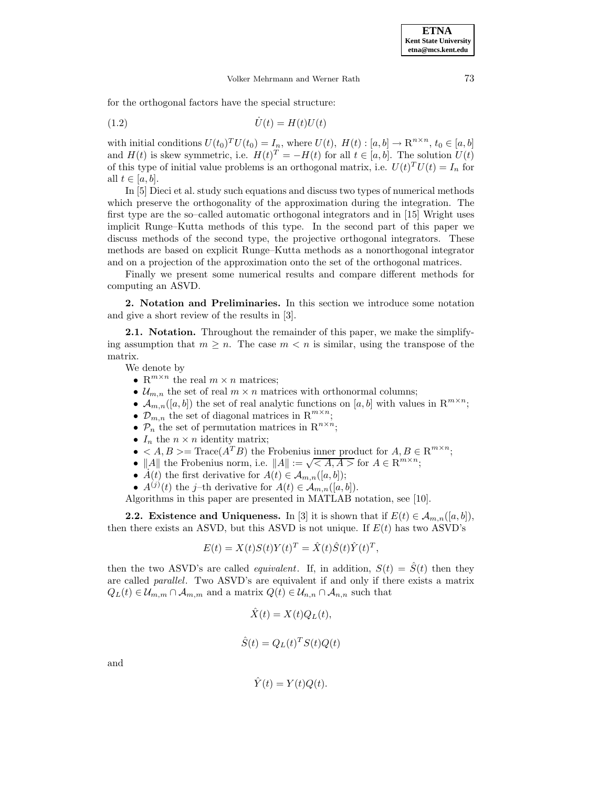for the orthogonal factors have the special structure:

$$
(1.2)\qquad \qquad \dot{U}(t) = H(t)U(t)
$$

with initial conditions  $U(t_0)^T U(t_0) = I_n$ , where  $U(t)$ ,  $H(t) : [a, b] \to \mathbb{R}^{n \times n}$ ,  $t_0 \in [a, b]$ and  $H(t)$  is skew symmetric, i.e.  $H(t)^{T} = -H(t)$  for all  $t \in [a, b]$ . The solution  $U(t)$ of this type of initial value problems is an orthogonal matrix, i.e.  $U(t)^T U(t) = I_n$  for all  $t \in [a, b]$ .

In [5] Dieci et al. study such equations and discuss two types of numerical methods which preserve the orthogonality of the approximation during the integration. The first type are the so–called automatic orthogonal integrators and in [15] Wright uses implicit Runge–Kutta methods of this type. In the second part of this paper we discuss methods of the second type, the projective orthogonal integrators. These methods are based on explicit Runge–Kutta methods as a nonorthogonal integrator and on a projection of the approximation onto the set of the orthogonal matrices.

Finally we present some numerical results and compare different methods for computing an ASVD.

**2. Notation and Preliminaries.** In this section we introduce some notation and give a short review of the results in [3].

**2.1. Notation.** Throughout the remainder of this paper, we make the simplifying assumption that  $m \geq n$ . The case  $m < n$  is similar, using the transpose of the matrix.

We denote by

- $\mathbb{R}^{m \times n}$  the real  $m \times n$  matrices;
- $\mathcal{U}_{m,n}$  the set of real  $m \times n$  matrices with orthonormal columns;
- $\mathcal{A}_{m,n}([a,b])$  the set of real analytic functions on  $[a,b]$  with values in  $\mathbb{R}^{m\times n}$ ;
- $\mathcal{D}_{m,n}$  the set of diagonal matrices in  $\mathbb{R}^{m \times n}$ ;
- $\mathcal{P}_n$  the set of permutation matrices in  $\mathbb{R}^{n \times n}$ ;
- $I_n$  the  $n \times n$  identity matrix;
- $\langle A, B \rangle = \text{Trace}(A^T B)$  the Frobenius inner product for  $A, B \in \mathbb{R}^{m \times n}$ ;
- ||A|| the Frobenius norm, i.e.  $||A|| := \sqrt{\langle A, A \rangle}$  for  $A \in \mathbb{R}^{m \times n}$ ;
- $A(t)$  the first derivative for  $A(t) \in \mathcal{A}_{m,n}([a, b])$ ;
- $A^{(j)}(t)$  the j–th derivative for  $A(t) \in \mathcal{A}_{m,n}([a, b]).$

Algorithms in this paper are presented in MATLAB notation, see [10].

**2.2. Existence and Uniqueness.** In [3] it is shown that if  $E(t) \in A_{m,n}([a, b]),$ then there exists an ASVD, but this ASVD is not unique. If  $E(t)$  has two ASVD's

$$
E(t) = X(t)S(t)Y(t)^T = \hat{X}(t)\hat{S}(t)\hat{Y}(t)^T,
$$

then the two ASVD's are called *equivalent*. If, in addition,  $S(t) = \hat{S}(t)$  then they are called parallel. Two ASVD's are equivalent if and only if there exists a matrix  $Q_L(t) \in \mathcal{U}_{m,m} \cap \mathcal{A}_{m,m}$  and a matrix  $Q(t) \in \mathcal{U}_{n,n} \cap \mathcal{A}_{n,n}$  such that

$$
\hat{X}(t) = X(t)Q_L(t),
$$

$$
\hat{S}(t) = Q_L(t)^T S(t) Q(t)
$$

$$
\hat{Y}(t) = Y(t)Q(t).
$$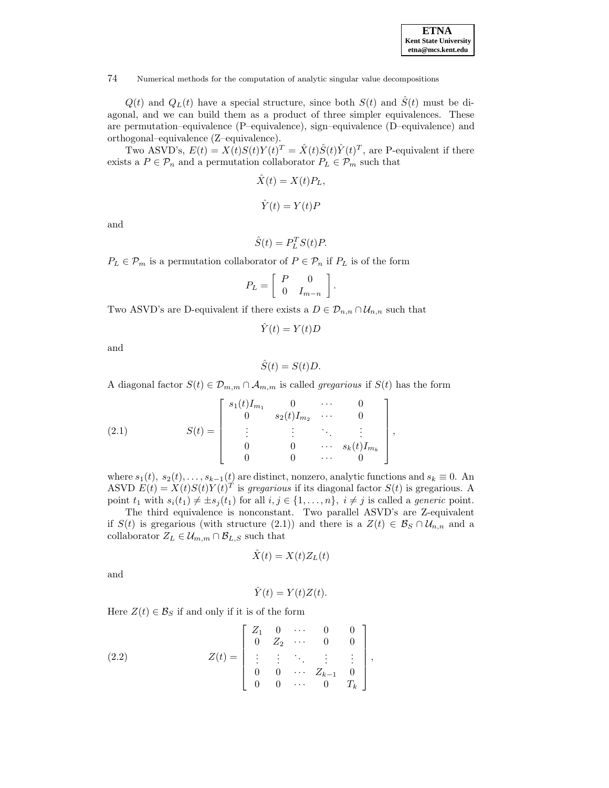| <b>ETNA</b>                  |
|------------------------------|
| <b>Kent State University</b> |
| etna@mcs.kent.edu            |

 $Q(t)$  and  $Q<sub>L</sub>(t)$  have a special structure, since both  $S(t)$  and  $\hat{S}(t)$  must be diagonal, and we can build them as a product of three simpler equivalences. These are permutation–equivalence (P–equivalence), sign–equivalence (D–equivalence) and orthogonal–equivalence (Z–equivalence).

Two ASVD's,  $E(t) = X(t)S(t)Y(t)^T = \hat{X}(t)\hat{S}(t)\hat{Y}(t)^T$ , are P-equivalent if there exists a  $P \in \mathcal{P}_n$  and a permutation collaborator  $P_L \in \mathcal{P}_m$  such that

$$
\hat{X}(t) = X(t)P_L,
$$
  

$$
\hat{Y}(t) = Y(t)P
$$

and

$$
\hat{S}(t) = P_L^T S(t) P.
$$

 $P_L \in \mathcal{P}_m$  is a permutation collaborator of  $P \in \mathcal{P}_n$  if  $P_L$  is of the form

$$
P_L = \left[ \begin{array}{cc} P & 0 \\ 0 & I_{m-n} \end{array} \right].
$$

Two ASVD's are D-equivalent if there exists a  $D \in \mathcal{D}_{n,n} \cap \mathcal{U}_{n,n}$  such that

$$
\hat{Y}(t) = Y(t)D
$$

and

$$
\hat{S}(t) = S(t)D.
$$

A diagonal factor  $S(t) \in \mathcal{D}_{m,m} \cap \mathcal{A}_{m,m}$  is called *gregarious* if  $S(t)$  has the form

(2.1) 
$$
S(t) = \begin{bmatrix} s_1(t)I_{m_1} & 0 & \cdots & 0 \\ 0 & s_2(t)I_{m_2} & \cdots & 0 \\ \vdots & \vdots & \ddots & \vdots \\ 0 & 0 & \cdots & s_k(t)I_{m_k} \\ 0 & 0 & \cdots & 0 \end{bmatrix},
$$

where  $s_1(t), s_2(t),...,s_{k-1}(t)$  are distinct, nonzero, analytic functions and  $s_k \equiv 0$ . An ASVD  $E(t) = X(t)S(t)Y(t)^{T}$  is gregarious if its diagonal factor  $S(t)$  is gregarious. A point  $t_1$  with  $s_i(t_1) \neq \pm s_j(t_1)$  for all  $i, j \in \{1, \ldots, n\}$ ,  $i \neq j$  is called a *generic* point.

The third equivalence is nonconstant. Two parallel ASVD's are Z-equivalent if  $S(t)$  is gregarious (with structure (2.1)) and there is a  $Z(t) \in \mathcal{B}_{S} \cap \mathcal{U}_{n,n}$  and a collaborator  $Z_L \in \mathcal{U}_{m,m} \cap \mathcal{B}_{L,S}$  such that

$$
\hat{X}(t) = X(t)Z_L(t)
$$

and

$$
\hat{Y}(t) = Y(t)Z(t).
$$

Here  $Z(t) \in \mathcal{B}_S$  if and only if it is of the form

(2.2) 
$$
Z(t) = \begin{bmatrix} Z_1 & 0 & \cdots & 0 & 0 \\ 0 & Z_2 & \cdots & 0 & 0 \\ \vdots & \vdots & \ddots & \vdots & \vdots \\ 0 & 0 & \cdots & Z_{k-1} & 0 \\ 0 & 0 & \cdots & 0 & T_k \end{bmatrix},
$$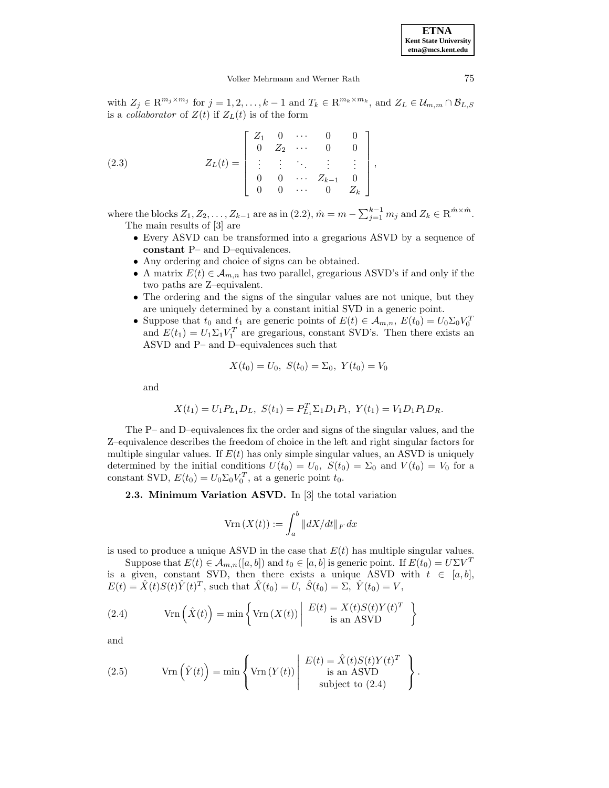**ETNA Kent State University etna@mcs.kent.edu**

#### Volker Mehrmann and Werner Rath 75

with  $Z_j \in \mathbb{R}^{m_j \times m_j}$  for  $j = 1, 2, ..., k-1$  and  $T_k \in \mathbb{R}^{m_k \times m_k}$ , and  $Z_L \in \mathcal{U}_{m,m} \cap \mathcal{B}_{L,S}$ is a *collaborator* of  $Z(t)$  if  $Z<sub>L</sub>(t)$  is of the form

(2.3) 
$$
Z_L(t) = \begin{bmatrix} Z_1 & 0 & \cdots & 0 & 0 \\ 0 & Z_2 & \cdots & 0 & 0 \\ \vdots & \vdots & \ddots & \vdots & \vdots \\ 0 & 0 & \cdots & Z_{k-1} & 0 \\ 0 & 0 & \cdots & 0 & Z_k \end{bmatrix},
$$

where the blocks  $Z_1, Z_2, \ldots, Z_{k-1}$  are as in  $(2.2)$ ,  $\hat{m} = m - \sum_{j=1}^{k-1} m_j$  and  $Z_k \in \mathbb{R}^{\hat{m} \times \hat{m}}$ . The main results of [3] are

- Every ASVD can be transformed into a gregarious ASVD by a sequence of **constant** P– and D–equivalences.
- Any ordering and choice of signs can be obtained.
- A matrix  $E(t) \in \mathcal{A}_{m,n}$  has two parallel, gregarious ASVD's if and only if the two paths are Z–equivalent.
- The ordering and the signs of the singular values are not unique, but they are uniquely determined by a constant initial SVD in a generic point.
- Suppose that  $t_0$  and  $t_1$  are generic points of  $E(t) \in A_{m,n}$ ,  $E(t_0) = U_0 \Sigma_0 V_0^T$ and  $E(t_1) = U_1 \Sigma_1 V_1^T$  are gregarious, constant SVD's. Then there exists an ASVD and P– and D–equivalences such that

$$
X(t_0) = U_0, \ S(t_0) = \Sigma_0, \ Y(t_0) = V_0
$$

and

$$
X(t_1) = U_1 P_{L_1} D_L, \ S(t_1) = P_{L_1}^T \Sigma_1 D_1 P_1, \ Y(t_1) = V_1 D_1 P_1 D_R.
$$

The P– and D–equivalences fix the order and signs of the singular values, and the Z–equivalence describes the freedom of choice in the left and right singular factors for multiple singular values. If  $E(t)$  has only simple singular values, an ASVD is uniquely determined by the initial conditions  $U(t_0) = U_0$ ,  $S(t_0) = \Sigma_0$  and  $V(t_0) = V_0$  for a constant SVD,  $E(t_0) = U_0 \Sigma_0 V_0^T$ , at a generic point  $t_0$ .

**2.3. Minimum Variation ASVD.** In [3] the total variation

$$
ext{Vrn}(X(t)) := \int_{a}^{b} ||dX/dt||_{F} dx
$$

is used to produce a unique ASVD in the case that  $E(t)$  has multiple singular values.

Suppose that  $E(t) \in A_{m,n}([a,b])$  and  $t_0 \in [a,b]$  is generic point. If  $E(t_0) = U\Sigma V^T$ is a given, constant SVD, then there exists a unique ASVD with  $t \in [a, b]$ ,  $E(t) = \hat{X}(t)S(t)\hat{Y}(t)^{T}$ , such that  $\hat{X}(t_0) = U$ ,  $\hat{S}(t_0) = \Sigma$ ,  $\hat{Y}(t_0) = V$ ,

(2.4) 
$$
\text{Vrn} \left( \hat{X}(t) \right) = \min \left\{ \text{Vrn} \left( X(t) \right) \middle| \begin{array}{c} E(t) = X(t)S(t)Y(t)^T \\ \text{is an ASVD} \end{array} \right\}
$$

(2.5) 
$$
\text{Vrn}(\hat{Y}(t)) = \min \left\{ \text{Vrn}(Y(t)) \middle| \begin{array}{c} E(t) = \hat{X}(t)S(t)Y(t)^T \\ \text{is an ASVD} \\ \text{subject to (2.4)} \end{array} \right\}.
$$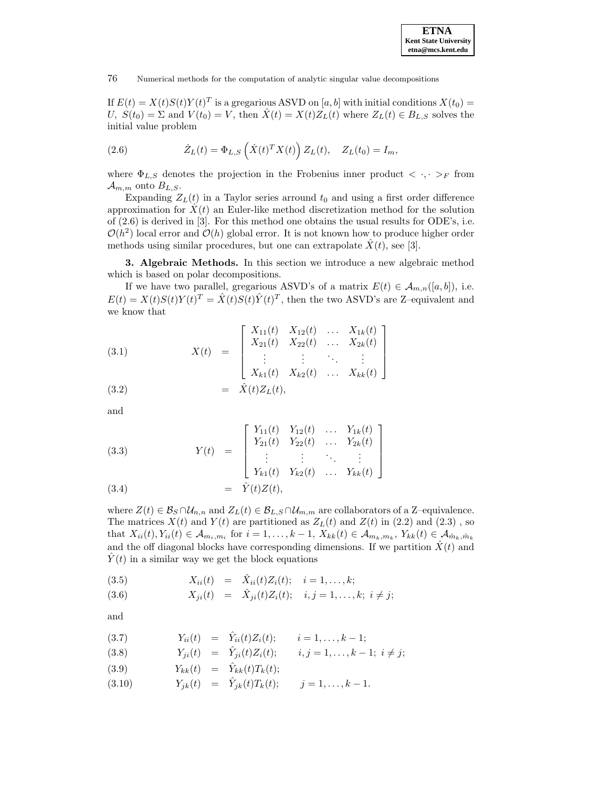

If  $E(t) = X(t)S(t)Y(t)^T$  is a gregarious ASVD on [a, b] with initial conditions  $X(t_0)$  = U,  $S(t_0) = \Sigma$  and  $V(t_0) = V$ , then  $\hat{X}(t) = X(t)Z_L(t)$  where  $Z_L(t) \in B_{L,S}$  solves the initial value problem

(2.6) 
$$
\dot{Z}_L(t) = \Phi_{L,S}\left(\dot{X}(t)^T X(t)\right) Z_L(t), \quad Z_L(t_0) = I_m,
$$

where  $\Phi_{L,S}$  denotes the projection in the Frobenius inner product  $\langle \cdot, \cdot \rangle_F$  from  $\mathcal{A}_{m,m}$  onto  $B_{L,S}.$ 

Expanding  $Z_L(t)$  in a Taylor series arround  $t_0$  and using a first order difference approximation for  $X(t)$  an Euler-like method discretization method for the solution of (2.6) is derived in [3]. For this method one obtains the usual results for ODE's, i.e.  $\mathcal{O}(h^2)$  local error and  $\mathcal{O}(h)$  global error. It is not known how to produce higher order methods using similar procedures, but one can extrapolate  $\hat{X}(t)$ , see [3].

**3. Algebraic Methods.** In this section we introduce a new algebraic method which is based on polar decompositions.

If we have two parallel, gregarious ASVD's of a matrix  $E(t) \in A_{m,n}([a, b]),$  i.e.  $E(t) = X(t)S(t)Y(t)^{T} = \hat{X}(t)S(t)\hat{Y}(t)^{T}$ , then the two ASVD's are Z-equivalent and we know that

(3.1)  
\n
$$
X(t) = \begin{bmatrix}\nX_{11}(t) & X_{12}(t) & \dots & X_{1k}(t) \\
X_{21}(t) & X_{22}(t) & \dots & X_{2k}(t) \\
\vdots & \vdots & \ddots & \vdots \\
X_{k1}(t) & X_{k2}(t) & \dots & X_{kk}(t)\n\end{bmatrix}
$$
\n(3.2)  
\n
$$
= \hat{X}(t)Z_L(t),
$$

and

(3.3)  

$$
Y(t) = \begin{bmatrix} Y_{11}(t) & Y_{12}(t) & \dots & Y_{1k}(t) \\ Y_{21}(t) & Y_{22}(t) & \dots & Y_{2k}(t) \\ \vdots & \vdots & \ddots & \vdots \\ Y_{k1}(t) & Y_{k2}(t) & \dots & Y_{kk}(t) \end{bmatrix}
$$
  
(3.4)  

$$
= \hat{Y}(t)Z(t),
$$

where  $Z(t) \in \mathcal{B}_S \cap \mathcal{U}_{n,n}$  and  $Z_L(t) \in \mathcal{B}_{L,S} \cap \mathcal{U}_{m,m}$  are collaborators of a Z–equivalence. The matrices  $X(t)$  and  $Y(t)$  are partitioned as  $Z_L(t)$  and  $Z(t)$  in (2.2) and (2.3), so that  $X_{ii}(t), Y_{ii}(t) \in \mathcal{A}_{m_i,m_i}$  for  $i = 1,\ldots,k-1$ ,  $X_{kk}(t) \in \mathcal{A}_{m_k,m_k}, Y_{kk}(t) \in \mathcal{A}_{\tilde{m}_k,\tilde{m}_k}$ and the off diagonal blocks have corresponding dimensions. If we partition  $\hat{X}(t)$  and  $Y(t)$  in a similar way we get the block equations

(3.5)  $X_{ii}(t) = \hat{X}_{ii}(t)Z_i(t); i = 1,...,k;$ 

(3.6) 
$$
X_{ji}(t) = \hat{X}_{ji}(t) Z_i(t); \quad i, j = 1, ..., k; \ i \neq j;
$$

(3.7) 
$$
Y_{ii}(t) = \hat{Y}_{ii}(t)Z_i(t); \quad i = 1,..., k-1;
$$

(3.8) 
$$
Y_{ji}(t) = \hat{Y}_{ji}(t) Z_i(t); \qquad i, j = 1, ..., k-1; i \neq j;
$$

$$
(3.9) \t Y_{kk}(t) = \hat{Y}_{kk}(t)T_k(t);
$$

(3.10) 
$$
Y_{jk}(t) = \hat{Y}_{jk}(t)T_k(t); \quad j = 1, ..., k-1.
$$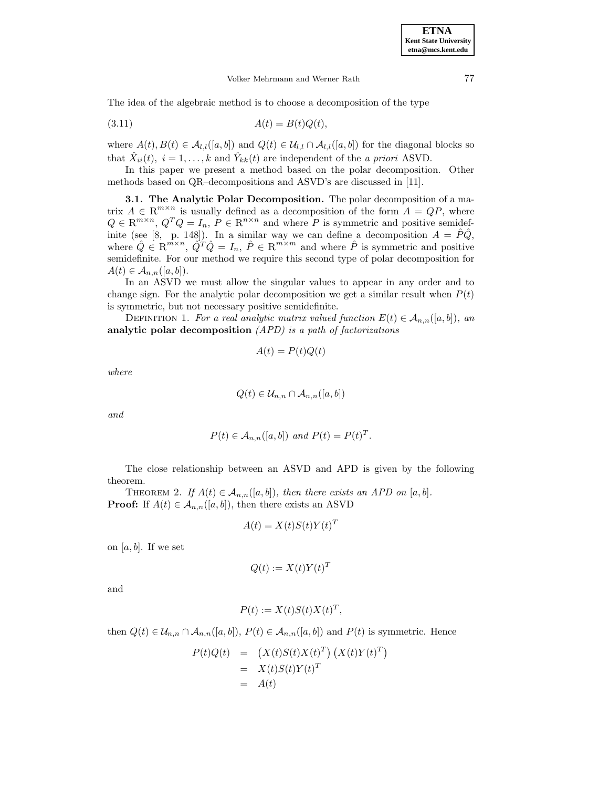The idea of the algebraic method is to choose a decomposition of the type

$$
(3.11)\qquad \qquad A(t) = B(t)Q(t),
$$

where  $A(t),B(t) \in \mathcal{A}_{l,l}([a,b])$  and  $Q(t) \in \mathcal{U}_{l,l} \cap \mathcal{A}_{l,l}([a,b])$  for the diagonal blocks so that  $\hat{X}_{ii}(t)$ ,  $i = 1, ..., k$  and  $\hat{Y}_{kk}(t)$  are independent of the a priori ASVD.

In this paper we present a method based on the polar decomposition. Other methods based on QR–decompositions and ASVD's are discussed in [11].

**3.1. The Analytic Polar Decomposition.** The polar decomposition of a matrix  $A \in \mathbb{R}^{m \times n}$  is usually defined as a decomposition of the form  $A = QP$ , where  $Q \in \mathbb{R}^{m \times n}$ ,  $Q^T Q = I_n$ ,  $P \in \mathbb{R}^{n \times n}$  and where P is symmetric and positive semidefinite (see [8, p. 148]). In a similar way we can define a decomposition  $A = \hat{P}\hat{Q}$ , where  $\hat{Q} \in \mathbb{R}^{m \times n}$ ,  $\hat{Q}^T \hat{Q} = I_n$ ,  $\hat{P} \in \mathbb{R}^{m \times m}$  and where  $\hat{P}$  is symmetric and positive semidefinite. For our method we require this second type of polar decomposition for  $A(t) \in \mathcal{A}_{n,n}([a,b]).$ 

In an ASVD we must allow the singular values to appear in any order and to change sign. For the analytic polar decomposition we get a similar result when  $P(t)$ is symmetric, but not necessary positive semidefinite.

DEFINITION 1. For a real analytic matrix valued function  $E(t) \in A_{n,n}([a,b])$ , an **analytic polar decomposition** (APD) is a path of factorizations

$$
A(t) = P(t)Q(t)
$$

where

$$
Q(t) \in \mathcal{U}_{n,n} \cap \mathcal{A}_{n,n}([a,b])
$$

and

$$
P(t) \in \mathcal{A}_{n,n}([a,b]) \text{ and } P(t) = P(t)^T.
$$

The close relationship between an ASVD and APD is given by the following theorem.

THEOREM 2. If  $A(t) \in \mathcal{A}_{n,n}([a,b])$ , then there exists an APD on  $[a,b]$ . **Proof:** If  $A(t) \in \mathcal{A}_{n,n}([a, b]),$  then there exists an ASVD

$$
A(t) = X(t)S(t)Y(t)^{T}
$$

on  $[a, b]$ . If we set

$$
Q(t) := X(t)Y(t)^T
$$

and

$$
P(t) := X(t)S(t)X(t)^T,
$$

then  $Q(t) \in \mathcal{U}_{n,n} \cap \mathcal{A}_{n,n}([a,b]), P(t) \in \mathcal{A}_{n,n}([a,b])$  and  $P(t)$  is symmetric. Hence

$$
P(t)Q(t) = (X(t)S(t)X(t)^{T}) (X(t)Y(t)^{T})
$$
  
=  $X(t)S(t)Y(t)^{T}$   
=  $A(t)$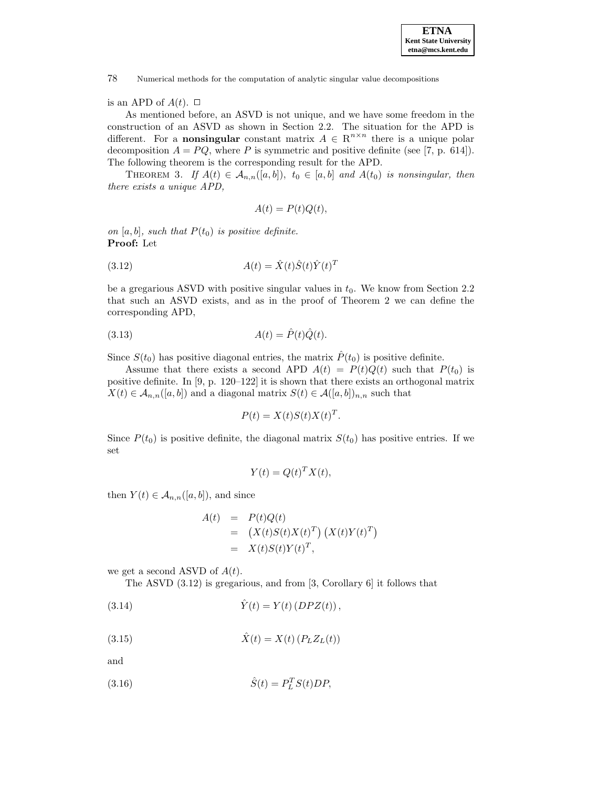## is an APD of  $A(t)$ .  $\Box$

As mentioned before, an ASVD is not unique, and we have some freedom in the construction of an ASVD as shown in Section 2.2. The situation for the APD is different. For a **nonsingular** constant matrix  $A \in \mathbb{R}^{n \times n}$  there is a unique polar decomposition  $A = PQ$ , where P is symmetric and positive definite (see [7, p. 614]). The following theorem is the corresponding result for the APD.

THEOREM 3. If  $A(t) \in \mathcal{A}_{n,n}([a,b])$ ,  $t_0 \in [a,b]$  and  $A(t_0)$  is nonsingular, then there exists a unique APD,

$$
A(t) = P(t)Q(t),
$$

on [a, b], such that  $P(t_0)$  is positive definite. **Proof:** Let

$$
(3.12)\qquad \qquad A(t) = \hat{X}(t)\hat{S}(t)\hat{Y}(t)^{T}
$$

be a gregarious ASVD with positive singular values in  $t_0$ . We know from Section 2.2 that such an ASVD exists, and as in the proof of Theorem 2 we can define the corresponding APD,

$$
(3.13)\qquad \qquad A(t) = \hat{P}(t)\hat{Q}(t).
$$

Since  $S(t_0)$  has positive diagonal entries, the matrix  $\hat{P}(t_0)$  is positive definite.

Assume that there exists a second APD  $A(t) = P(t)Q(t)$  such that  $P(t_0)$  is positive definite. In [9, p. 120–122] it is shown that there exists an orthogonal matrix  $X(t) \in \mathcal{A}_{n,n}([a,b])$  and a diagonal matrix  $S(t) \in \mathcal{A}([a,b])_{n,n}$  such that

$$
P(t) = X(t)S(t)X(t)^{T}.
$$

Since  $P(t_0)$  is positive definite, the diagonal matrix  $S(t_0)$  has positive entries. If we set

$$
Y(t) = Q(t)^T X(t),
$$

then  $Y(t) \in \mathcal{A}_{n,n}([a,b])$ , and since

$$
A(t) = P(t)Q(t)
$$
  
=  $(X(t)S(t)X(t)^T) (X(t)Y(t)^T)$   
=  $X(t)S(t)Y(t)^T$ ,

we get a second ASVD of  $A(t)$ .

The ASVD (3.12) is gregarious, and from [3, Corollary 6] it follows that

(3.14) 
$$
\hat{Y}(t) = Y(t) (D P Z(t)),
$$

$$
\hat{X}(t) = X(t) \left( P_L Z_L(t) \right)
$$

(3.16) 
$$
\hat{S}(t) = P_L^T S(t) D P,
$$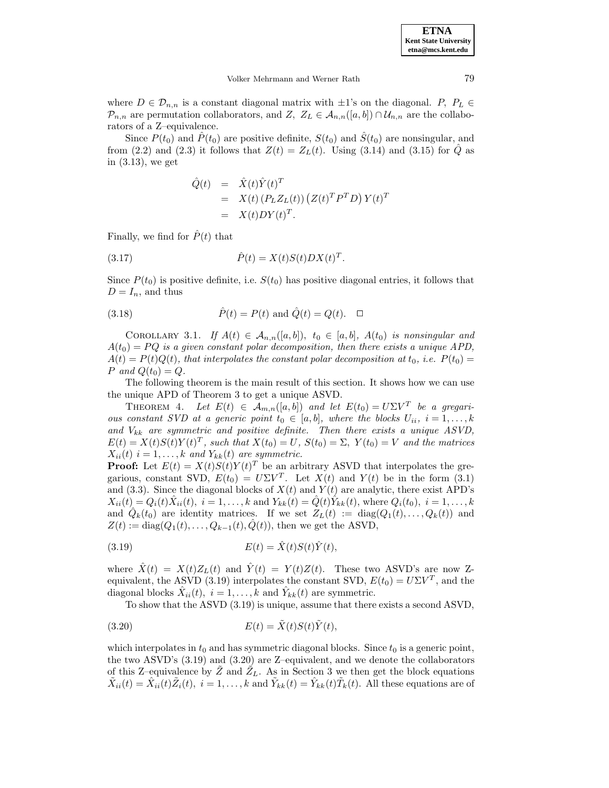where  $D \in \mathcal{D}_{n,n}$  is a constant diagonal matrix with  $\pm 1$ 's on the diagonal.  $P, P_L \in$  $\mathcal{P}_{n,n}$  are permutation collaborators, and Z,  $Z_L \in \mathcal{A}_{n,n}([a,b]) \cap \mathcal{U}_{n,n}$  are the collaborators of a Z–equivalence.

Since  $P(t_0)$  and  $\hat{P}(t_0)$  are positive definite,  $S(t_0)$  and  $\hat{S}(t_0)$  are nonsingular, and from (2.2) and (2.3) it follows that  $Z(t) = Z<sub>L</sub>(t)$ . Using (3.14) and (3.15) for Q as in (3.13), we get

$$
\begin{array}{rcl}\n\hat{Q}(t) & = & \hat{X}(t)\hat{Y}(t)^T \\
& = & X(t) \left( P_L Z_L(t) \right) \left( Z(t)^T P^T D \right) Y(t)^T \\
& = & X(t) D Y(t)^T.\n\end{array}
$$

Finally, we find for  $\hat{P}(t)$  that

(3.17) 
$$
\hat{P}(t) = X(t)S(t)DX(t)^{T}.
$$

Since  $P(t_0)$  is positive definite, i.e.  $S(t_0)$  has positive diagonal entries, it follows that  $D = I_n$ , and thus

(3.18) 
$$
\hat{P}(t) = P(t)
$$
 and  $\hat{Q}(t) = Q(t)$ .  $\Box$ 

COROLLARY 3.1. If  $A(t) \in \mathcal{A}_{n,n}([a,b])$ ,  $t_0 \in [a,b]$ ,  $A(t_0)$  is nonsingular and  $A(t_0) = PQ$  is a given constant polar decomposition, then there exists a unique APD,  $A(t) = P(t)Q(t)$ , that interpolates the constant polar decomposition at  $t_0$ , i.e.  $P(t_0) =$ P and  $Q(t_0) = Q$ .

The following theorem is the main result of this section. It shows how we can use the unique APD of Theorem 3 to get a unique ASVD.

THEOREM 4. Let  $E(t) \in \mathcal{A}_{m,n}([a,b])$  and let  $E(t_0) = U \Sigma V^T$  be a gregarious constant SVD at a generic point  $t_0 \in [a, b]$ , where the blocks  $U_{ii}$ ,  $i = 1, \ldots, k$ and  $V_{kk}$  are symmetric and positive definite. Then there exists a unique ASVD,  $E(t) = X(t)S(t)Y(t)^T$ , such that  $X(t_0) = U$ ,  $S(t_0) = \Sigma$ ,  $Y(t_0) = V$  and the matrices  $X_{ii}(t)$  i = 1,..., k and  $Y_{kk}(t)$  are symmetric.

**Proof:** Let  $E(t) = X(t)S(t)Y(t)^T$  be an arbitrary ASVD that interpolates the gregarious, constant SVD,  $E(t_0) = U\Sigma V^T$ . Let  $X(t)$  and  $Y(t)$  be in the form (3.1) and (3.3). Since the diagonal blocks of  $X(t)$  and  $Y(t)$  are analytic, there exist APD's  $X_{ii}(t) = Q_i(t)X_{ii}(t), i = 1,...,k$  and  $Y_{kk}(t) = Q(t)Y_{kk}(t)$ , where  $Q_i(t_0), i = 1,...,k$ and  $\hat{Q}_k(t_0)$  are identity matrices. If we set  $Z_L(t) := \text{diag}(Q_1(t), \ldots, Q_k(t))$  and  $Z(t) := \text{diag}(Q_1(t), \ldots, Q_{k-1}(t), \hat{Q}(t)),$  then we get the ASVD,

(3.19) 
$$
E(t) = \hat{X}(t)S(t)\hat{Y}(t),
$$

where  $\hat{X}(t) = X(t)Z_L(t)$  and  $\hat{Y}(t) = Y(t)Z(t)$ . These two ASVD's are now Zequivalent, the ASVD (3.19) interpolates the constant SVD,  $E(t_0) = U\Sigma V^T$ , and the diagonal blocks  $\hat{X}_{ii}(t)$ ,  $i = 1, \ldots, k$  and  $\hat{Y}_{kk}(t)$  are symmetric.

To show that the ASVD (3.19) is unique, assume that there exists a second ASVD,

(3.20) 
$$
E(t) = \tilde{X}(t)S(t)\tilde{Y}(t),
$$

which interpolates in  $t_0$  and has symmetric diagonal blocks. Since  $t_0$  is a generic point, the two ASVD's (3.19) and (3.20) are Z–equivalent, and we denote the collaborators of this Z–equivalence by  $Z$  and  $Z_L$ . As in Section 3 we then get the block equations  $\tilde{X}_{ii}(t) = \hat{X}_{ii}(t)\tilde{Z}_{i}(t), i = 1,\ldots,k$  and  $\tilde{Y}_{kk}(t) = \hat{Y}_{kk}(t)\tilde{T}_{k}(t)$ . All these equations are of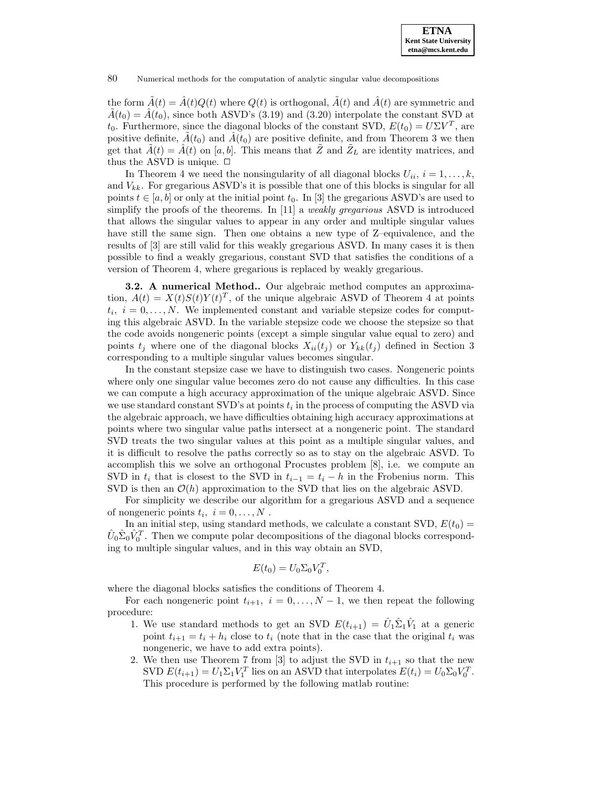the form  $\tilde{A}(t) = \hat{A}(t)Q(t)$  where  $Q(t)$  is orthogonal,  $\tilde{A}(t)$  and  $\hat{A}(t)$  are symmetric and  $\tilde{A}(t_0) = \hat{A}(t_0)$ , since both ASVD's (3.19) and (3.20) interpolate the constant SVD at  $t_0$ . Furthermore, since the diagonal blocks of the constant SVD,  $E(t_0) = U\Sigma V^T$ , are positive definite,  $\tilde{A}(t_0)$  and  $\tilde{A}(t_0)$  are positive definite, and from Theorem 3 we then get that  $\tilde{A}(t) = \hat{A}(t)$  on [a, b]. This means that  $\tilde{Z}$  and  $\tilde{Z}_L$  are identity matrices, and thus the ASVD is unique.  $\Box$ 

In Theorem 4 we need the nonsingularity of all diagonal blocks  $U_{ii}$ ,  $i = 1, \ldots, k$ , and  $V_{kk}$ . For gregarious ASVD's it is possible that one of this blocks is singular for all points  $t \in [a, b]$  or only at the initial point  $t_0$ . In [3] the gregarious ASVD's are used to simplify the proofs of the theorems. In [11] a *weakly gregarious* ASVD is introduced that allows the singular values to appear in any order and multiple singular values have still the same sign. Then one obtains a new type of Z–equivalence, and the results of [3] are still valid for this weakly gregarious ASVD. In many cases it is then possible to find a weakly gregarious, constant SVD that satisfies the conditions of a version of Theorem 4, where gregarious is replaced by weakly gregarious.

**3.2. A numerical Method..** Our algebraic method computes an approximation,  $A(t) = X(t)S(t)Y(t)^T$ , of the unique algebraic ASVD of Theorem 4 at points  $t_i, i = 0, \ldots, N$ . We implemented constant and variable stepsize codes for computing this algebraic ASVD. In the variable stepsize code we choose the stepsize so that the code avoids nongeneric points (except a simple singular value equal to zero) and points  $t_j$  where one of the diagonal blocks  $X_{ii}(t_j)$  or  $Y_{kk}(t_j)$  defined in Section 3 corresponding to a multiple singular values becomes singular.

In the constant stepsize case we have to distinguish two cases. Nongeneric points where only one singular value becomes zero do not cause any difficulties. In this case we can compute a high accuracy approximation of the unique algebraic ASVD. Since we use standard constant SVD's at points  $t_i$  in the process of computing the ASVD via the algebraic approach, we have difficulties obtaining high accuracy approximations at points where two singular value paths intersect at a nongeneric point. The standard SVD treats the two singular values at this point as a multiple singular values, and it is difficult to resolve the paths correctly so as to stay on the algebraic ASVD. To accomplish this we solve an orthogonal Procustes problem [8], i.e. we compute an SVD in  $t_i$  that is closest to the SVD in  $t_{i-1} = t_i - h$  in the Frobenius norm. This SVD is then an  $\mathcal{O}(h)$  approximation to the SVD that lies on the algebraic ASVD.

For simplicity we describe our algorithm for a gregarious ASVD and a sequence of nongeneric points  $t_i, i = 0, \ldots, N$ .

In an initial step, using standard methods, we calculate a constant SVD,  $E(t_0)$  =  $\hat{U}_0 \hat{\Sigma}_0 \hat{V}_0^T$ . Then we compute polar decompositions of the diagonal blocks corresponding to multiple singular values, and in this way obtain an SVD,

$$
E(t_0) = U_0 \Sigma_0 V_0^T,
$$

where the diagonal blocks satisfies the conditions of Theorem 4.

For each nongeneric point  $t_{i+1}$ ,  $i = 0, \ldots, N-1$ , we then repeat the following procedure:

- 1. We use standard methods to get an SVD  $E(t_{i+1}) = \hat{U}_1 \hat{\Sigma}_1 \hat{V}_1$  at a generic point  $t_{i+1} = t_i + h_i$  close to  $t_i$  (note that in the case that the original  $t_i$  was nongeneric, we have to add extra points).
- 2. We then use Theorem 7 from [3] to adjust the SVD in  $t_{i+1}$  so that the new SVD  $E(t_{i+1}) = U_1 \Sigma_1 V_1^T$  lies on an ASVD that interpolates  $E(t_i) = U_0 \Sigma_0 V_0^T$ . This procedure is performed by the following matlab routine: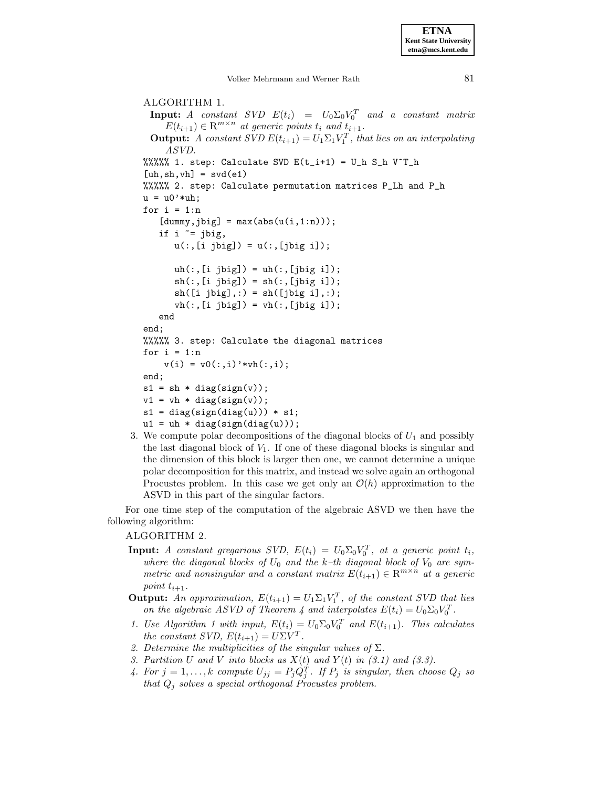**ETNA Kent State University etna@mcs.kent.edu**

Volker Mehrmann and Werner Rath 81

ALGORITHM 1. **Input:** A constant  $SVD E(t_i) = U_0 \Sigma_0 V_0^T$  and a constant matrix  $E(t_{i+1}) \in \mathbb{R}^{m \times n}$  at generic points  $t_i$  and  $t_{i+1}$ . **Output:** A constant SVD  $E(t_{i+1}) = U_1 \Sigma_1 V_1^T$ , that lies on an interpolating ASVD. %%%%% 1. step: Calculate SVD  $E(t_i+1) = U_h S_h V^T_h$  $[uh, sh, vh] = svd(e1)$ %%%%% 2. step: Calculate permutation matrices P\_Lh and P\_h  $u = u0'$ \*uh; for  $i = 1:n$  $[dummy,jbig] = max(abs(u(i,1:n)))$ ; if  $i = ibig$ ,  $u(:,[i\;\;jbig]) = u(:,[jbig\; i]);$  $uh(:,[i|big]) = uh(:,[jbig|i]);$  $sh(:,[i jbig]) = sh(:,[jbig i]);$  $sh([i \text{ big}],:) = sh([jbig i],:);$  $vh(:,[i jbig]) = vh(:,[jbig i]);$ end end; %%%%% 3. step: Calculate the diagonal matrices for  $i = 1:n$  $v(i) = v0(:,i)$ '\*vh $(:,i);$ end;  $s1 = sh * diag(sign(v));$  $v1 = vh * diag(sign(v));$  $s1 = diag(sign(diag(u))) * s1;$  $u1 = uh * diag(sign(diag(u)))$ ;

3. We compute polar decompositions of the diagonal blocks of  $U_1$  and possibly the last diagonal block of  $V_1$ . If one of these diagonal blocks is singular and the dimension of this block is larger then one, we cannot determine a unique polar decomposition for this matrix, and instead we solve again an orthogonal Procustes problem. In this case we get only an  $\mathcal{O}(h)$  approximation to the ASVD in this part of the singular factors.

For one time step of the computation of the algebraic ASVD we then have the following algorithm:

### ALGORITHM 2.

- **Input:** A constant gregarious SVD,  $E(t_i) = U_0 \Sigma_0 V_0^T$ , at a generic point  $t_i$ , where the diagonal blocks of  $U_0$  and the k-th diagonal block of  $V_0$  are symmetric and nonsingular and a constant matrix  $E(t_{i+1}) \in \mathbb{R}^{m \times n}$  at a generic point  $t_{i+1}$ .
- **Output:** An approximation,  $E(t_{i+1}) = U_1 \Sigma_1 V_1^T$ , of the constant SVD that lies on the algebraic ASVD of Theorem 4 and interpolates  $E(t_i) = U_0 \Sigma_0 V_0^T$ .
- 1. Use Algorithm 1 with input,  $E(t_i) = U_0 \Sigma_0 V_0^T$  and  $E(t_{i+1})$ . This calculates the constant SVD,  $E(t_{i+1}) = U\Sigma V^T$ .
- 2. Determine the multiplicities of the singular values of  $\Sigma$ .
- 3. Partition U and V into blocks as  $X(t)$  and  $Y(t)$  in (3.1) and (3.3).
- 4. For  $j = 1, \ldots, k$  compute  $U_{jj} = P_j Q_j^T$ . If  $P_j$  is singular, then choose  $Q_j$  so that  $Q_j$  solves a special orthogonal Procustes problem.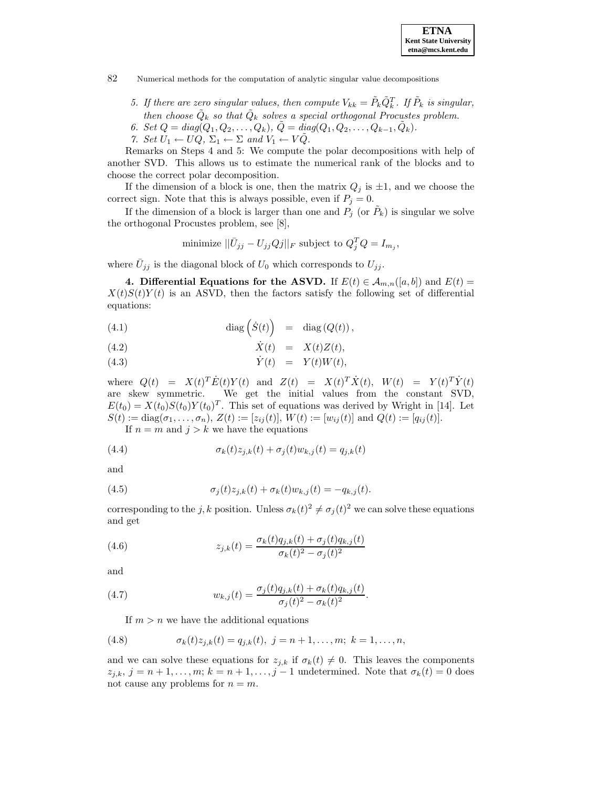

- 5. If there are zero singular values, then compute  $V_{kk} = \tilde{P}_k \tilde{Q}_k^T$ . If  $\tilde{P}_k$  is singular, then choose  $\tilde{Q}_k$  so that  $\tilde{Q}_k$  solves a special orthogonal Procustes problem.
- 6. Set  $Q = diag(Q_1, Q_2, \ldots, Q_k), \, \tilde{Q} = diag(Q_1, Q_2, \ldots, Q_{k-1}, \tilde{Q}_k).$
- 7. Set  $U_1 \leftarrow UQ$ ,  $\Sigma_1 \leftarrow \Sigma$  and  $V_1 \leftarrow VQ$ .

Remarks on Steps 4 and 5: We compute the polar decompositions with help of another SVD. This allows us to estimate the numerical rank of the blocks and to choose the correct polar decomposition.

If the dimension of a block is one, then the matrix  $Q_j$  is  $\pm 1$ , and we choose the correct sign. Note that this is always possible, even if  $P_j = 0$ .

If the dimension of a block is larger than one and  $P_i$  (or  $P_k$ ) is singular we solve the orthogonal Procustes problem, see [8],

minimize 
$$
||\bar{U}_{jj} - U_{jj}Qj||_F
$$
 subject to  $Q_j^T Q = I_{m_j}$ ,

where  $\bar{U}_{jj}$  is the diagonal block of  $U_0$  which corresponds to  $U_{jj}$ .

**4. Differential Equations for the ASVD.** If  $E(t) \in A_{m,n}([a, b])$  and  $E(t) =$  $X(t)S(t)Y(t)$  is an ASVD, then the factors satisfy the following set of differential equations:

(4.1) 
$$
\operatorname{diag} \left( \dot{S}(t) \right) = \operatorname{diag} (Q(t)),
$$

X˙ (4.2) (t) = X(t)Z(t),

Y˙ (4.3) (t) = Y (t)W(t),

where  $Q(t) = X(t)^T \dot{E}(t) Y(t)$  and  $Z(t) = X(t)^T \dot{X}(t)$ ,  $W(t) = Y(t)^T \dot{Y}(t)$ are skew symmetric. We get the initial values from the constant SVD,  $E(t_0) = X(t_0)S(t_0)Y(t_0)^T$ . This set of equations was derived by Wright in [14]. Let  $S(t) := \text{diag}(\sigma_1, \ldots, \sigma_n), Z(t) := [z_{ij}(t)], W(t) := [w_{ij}(t)] \text{ and } Q(t) := [q_{ij}(t)].$ 

If  $n = m$  and  $j > k$  we have the equations

(4.4) 
$$
\sigma_k(t)z_{j,k}(t) + \sigma_j(t)w_{k,j}(t) = q_{j,k}(t)
$$

and

(4.5) 
$$
\sigma_j(t) z_{j,k}(t) + \sigma_k(t) w_{k,j}(t) = -q_{k,j}(t).
$$

corresponding to the j, k position. Unless  $\sigma_k(t)^2 \neq \sigma_i(t)^2$  we can solve these equations and get

(4.6) 
$$
z_{j,k}(t) = \frac{\sigma_k(t)q_{j,k}(t) + \sigma_j(t)q_{k,j}(t)}{\sigma_k(t)^2 - \sigma_j(t)^2}
$$

and

(4.7) 
$$
w_{k,j}(t) = \frac{\sigma_j(t)q_{j,k}(t) + \sigma_k(t)q_{k,j}(t)}{\sigma_j(t)^2 - \sigma_k(t)^2}.
$$

If  $m>n$  we have the additional equations

(4.8) 
$$
\sigma_k(t)z_{j,k}(t) = q_{j,k}(t), \ j = n+1,\ldots,m; \ k = 1,\ldots,n,
$$

and we can solve these equations for  $z_{j,k}$  if  $\sigma_k(t) \neq 0$ . This leaves the components  $z_{j,k}, j = n+1,\ldots,m; k = n+1,\ldots,j-1$  undetermined. Note that  $\sigma_k(t) = 0$  does not cause any problems for  $n = m$ .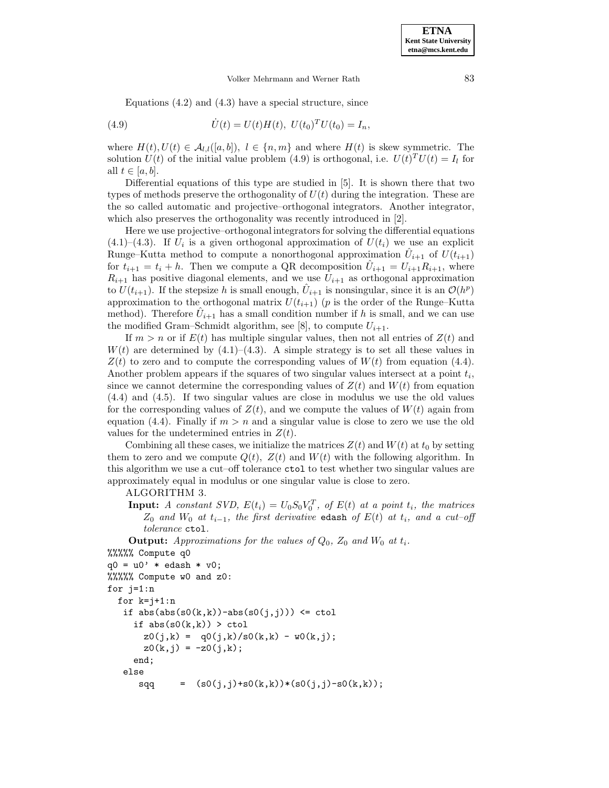Equations  $(4.2)$  and  $(4.3)$  have a special structure, since

(4.9) 
$$
\dot{U}(t) = U(t)H(t), \ U(t_0)^T U(t_0) = I_n,
$$

where  $H(t), U(t) \in \mathcal{A}_{l,l}([a, b]), l \in \{n, m\}$  and where  $H(t)$  is skew symmetric. The solution  $U(t)$  of the initial value problem (4.9) is orthogonal, i.e.  $U(t)^T U(t) = I_l$  for all  $t \in [a, b]$ .

Differential equations of this type are studied in [5]. It is shown there that two types of methods preserve the orthogonality of  $U(t)$  during the integration. These are the so called automatic and projective–orthogonal integrators. Another integrator, which also preserves the orthogonality was recently introduced in [2].

Here we use projective–orthogonalintegrators for solving the differential equations  $(4.1)$ – $(4.3)$ . If  $U_i$  is a given orthogonal approximation of  $U(t_i)$  we use an explicit Runge–Kutta method to compute a nonorthogonal approximation  $U_{i+1}$  of  $U(t_{i+1})$ for  $t_{i+1} = t_i + h$ . Then we compute a QR decomposition  $\hat{U}_{i+1} = U_{i+1}R_{i+1}$ , where  $R_{i+1}$  has positive diagonal elements, and we use  $U_{i+1}$  as orthogonal approximation to  $U(t_{i+1})$ . If the stepsize h is small enough,  $U_{i+1}$  is nonsingular, since it is an  $\mathcal{O}(h^p)$ approximation to the orthogonal matrix  $U(t_{i+1})$  (p is the order of the Runge–Kutta method). Therefore  $U_{i+1}$  has a small condition number if h is small, and we can use the modified Gram–Schmidt algorithm, see [8], to compute  $U_{i+1}$ .

If  $m>n$  or if  $E(t)$  has multiple singular values, then not all entries of  $Z(t)$  and  $W(t)$  are determined by  $(4.1)$ – $(4.3)$ . A simple strategy is to set all these values in  $Z(t)$  to zero and to compute the corresponding values of  $W(t)$  from equation (4.4). Another problem appears if the squares of two singular values intersect at a point  $t_i$ , since we cannot determine the corresponding values of  $Z(t)$  and  $W(t)$  from equation (4.4) and (4.5). If two singular values are close in modulus we use the old values for the corresponding values of  $Z(t)$ , and we compute the values of  $W(t)$  again from equation (4.4). Finally if  $m > n$  and a singular value is close to zero we use the old values for the undetermined entries in  $Z(t)$ .

Combining all these cases, we initialize the matrices  $Z(t)$  and  $W(t)$  at  $t_0$  by setting them to zero and we compute  $Q(t)$ ,  $Z(t)$  and  $W(t)$  with the following algorithm. In this algorithm we use a cut–off tolerance ctol to test whether two singular values are approximately equal in modulus or one singular value is close to zero.

#### ALGORITHM 3.

**Input:** A constant SVD,  $E(t_i) = U_0 S_0 V_0^T$ , of  $E(t)$  at a point  $t_i$ , the matrices  $Z_0$  and  $W_0$  at  $t_{i-1}$ , the first derivative edash of  $E(t)$  at  $t_i$ , and a cut–off tolerance ctol.

**Output:** Approximations for the values of  $Q_0$ ,  $Z_0$  and  $W_0$  at  $t_i$ .

```
%%%%% Compute q0
q0 = u0' * edash * v0;%%%%% Compute w0 and z0:
for j=1:n
  for k=j+1:nif abs(abs(s0(k,k))-abs(s0(j,j))) \leq ctolif abs(s0(k,k)) > ctolz0(j,k) = q0(j,k)/s0(k,k) - w0(k,j);z0(k, j) = -z0(j, k);end;
   else
      sqq = (s0(j,j)+s0(k,k))*(s0(j,j)-s0(k,k));
```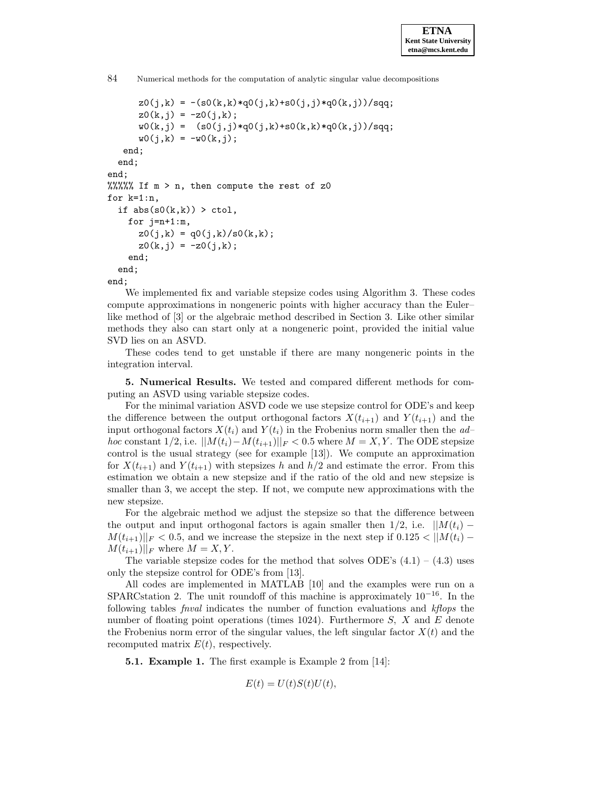```
84 Numerical methods for the computation of analytic singular value decompositions
```

```
z0(j,k) = -(s0(k,k)*q0(j,k)+s0(j,j)*q0(k,j))/sqq;z0(k,j) = -z0(j,k);w0(k,j) = (s0(j,j)*q0(j,k)*s0(k,k)*q0(k,j))/sqq;w0(j,k) = -w0(k,j);end;
  end;
end;
%%%%% If m > n, then compute the rest of z0
for k=1:n,
  if abs(s0(k,k)) > ctol,
    for j=n+1:m,
      z0(j,k) = q0(j,k)/s0(k,k);z0(k,j) = -z0(j,k);end;
  end;
end;
```
We implemented fix and variable stepsize codes using Algorithm 3. These codes compute approximations in nongeneric points with higher accuracy than the Euler– like method of [3] or the algebraic method described in Section 3. Like other similar methods they also can start only at a nongeneric point, provided the initial value SVD lies on an ASVD.

These codes tend to get unstable if there are many nongeneric points in the integration interval.

**5. Numerical Results.** We tested and compared different methods for computing an ASVD using variable stepsize codes.

For the minimal variation ASVD code we use stepsize control for ODE's and keep the difference between the output orthogonal factors  $X(t_{i+1})$  and  $Y(t_{i+1})$  and the input orthogonal factors  $X(t_i)$  and  $Y(t_i)$  in the Frobenius norm smaller then the adhoc constant 1/2, i.e.  $||M(t_i)-M(t_{i+1})||_F < 0.5$  where  $M = X, Y$ . The ODE stepsize control is the usual strategy (see for example [13]). We compute an approximation for  $X(t_{i+1})$  and  $Y(t_{i+1})$  with stepsizes h and  $h/2$  and estimate the error. From this estimation we obtain a new stepsize and if the ratio of the old and new stepsize is smaller than 3, we accept the step. If not, we compute new approximations with the new stepsize.

For the algebraic method we adjust the stepsize so that the difference between the output and input orthogonal factors is again smaller then  $1/2$ , i.e.  $||M(t_i) M(t_{i+1})||_F < 0.5$ , and we increase the stepsize in the next step if  $0.125 < ||M(t_i) M(t_{i+1})||_F$  where  $M = X, Y$ .

The variable stepsize codes for the method that solves ODE's  $(4.1) - (4.3)$  uses only the stepsize control for ODE's from [13].

All codes are implemented in MATLAB [10] and the examples were run on a SPARCstation 2. The unit roundoff of this machine is approximately  $10^{-16}$ . In the following tables fnval indicates the number of function evaluations and kflops the number of floating point operations (times 1024). Furthermore  $S$ ,  $X$  and  $E$  denote the Frobenius norm error of the singular values, the left singular factor  $X(t)$  and the recomputed matrix  $E(t)$ , respectively.

**5.1. Example 1.** The first example is Example 2 from [14]:

$$
E(t) = U(t)S(t)U(t),
$$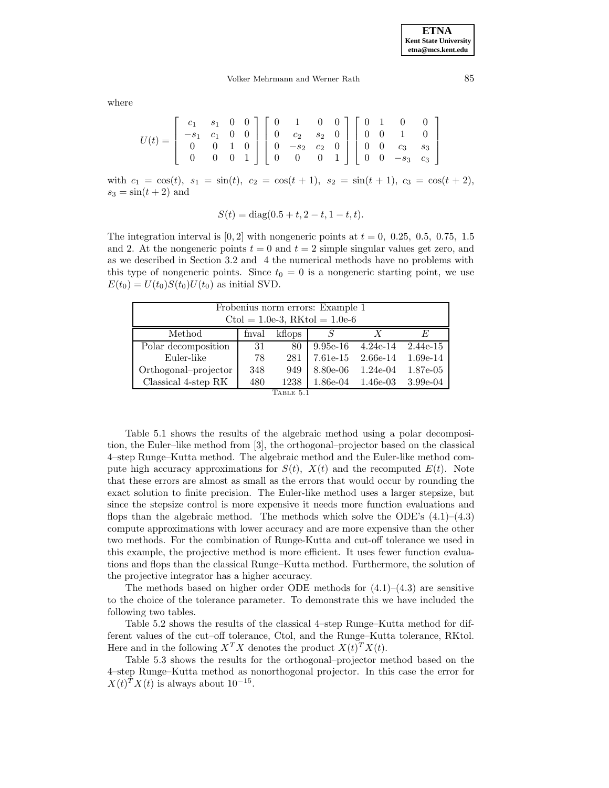where

| $U(t)=\left[\begin{array}{cccc c} c_1 & s_1 & 0 & 0\ -s_1 & c_1 & 0 & 0\ 0 & 0 & 1 & 0\ 0 & 0 & 0 & 1\ \end{array}\right] \left[\begin{array}{cccc c} 0 & 1 & 0 & 0\ 0 & c_2 & s_2 & 0\ 0 & -s_2 & c_2 & 0\ 0 & 0 & 0 & 1\ \end{array}\right] \left[\begin{array}{cccc c} 0 & 1 & 0 & 0\ 0 & 0 & 1 & 0\ 0 & 0 & c_3 & s_3\ 0 & 0 & -s_3 & c_3\ \end{array}\right]$ |  |  |  |  |  |  |  |  |
|--------------------------------------------------------------------------------------------------------------------------------------------------------------------------------------------------------------------------------------------------------------------------------------------------------------------------------------------------------------------|--|--|--|--|--|--|--|--|
|                                                                                                                                                                                                                                                                                                                                                                    |  |  |  |  |  |  |  |  |
|                                                                                                                                                                                                                                                                                                                                                                    |  |  |  |  |  |  |  |  |
|                                                                                                                                                                                                                                                                                                                                                                    |  |  |  |  |  |  |  |  |

with  $c_1 = \cos(t)$ ,  $s_1 = \sin(t)$ ,  $c_2 = \cos(t+1)$ ,  $s_2 = \sin(t+1)$ ,  $c_3 = \cos(t+2)$ ,  $s_3 = \sin(t+2)$  and

$$
S(t) = diag(0.5 + t, 2 - t, 1 - t, t).
$$

The integration interval is  $[0, 2]$  with nongeneric points at  $t = 0$ , 0.25, 0.5, 0.75, 1.5 and 2. At the nongeneric points  $t = 0$  and  $t = 2$  simple singular values get zero, and as we described in Section 3.2 and 4 the numerical methods have no problems with this type of nongeneric points. Since  $t_0 = 0$  is a nongeneric starting point, we use  $E(t_0) = U(t_0)S(t_0)U(t_0)$  as initial SVD.

| Frobenius norm errors: Example 1<br>Ctol = $1.0e-3$ , RKtol = $1.0e-6$     |    |    |                     |  |          |  |  |  |
|----------------------------------------------------------------------------|----|----|---------------------|--|----------|--|--|--|
| Method<br>kflops<br>X<br>fnval<br>F,<br>S                                  |    |    |                     |  |          |  |  |  |
| Polar decomposition                                                        | 31 | 80 | 9.95e-16 $4.24e-14$ |  | 2.44e-15 |  |  |  |
| Euler-like<br>7.61e-15<br>$1.69e-14$<br>$2.66e-14$<br>281<br>78            |    |    |                     |  |          |  |  |  |
| Orthogonal-projector<br>1.87e-05<br>8.80e-06<br>$1.24e-04$<br>949<br>348   |    |    |                     |  |          |  |  |  |
| Classical 4-step RK<br>$3.99e-04$<br>480<br>1238<br>1.86e-04<br>$1.46e-03$ |    |    |                     |  |          |  |  |  |
| Table 5.1                                                                  |    |    |                     |  |          |  |  |  |

Table 5.1 shows the results of the algebraic method using a polar decomposition, the Euler–like method from [3], the orthogonal–projector based on the classical 4–step Runge–Kutta method. The algebraic method and the Euler-like method compute high accuracy approximations for  $S(t)$ ,  $X(t)$  and the recomputed  $E(t)$ . Note that these errors are almost as small as the errors that would occur by rounding the exact solution to finite precision. The Euler-like method uses a larger stepsize, but since the stepsize control is more expensive it needs more function evaluations and flops than the algebraic method. The methods which solve the ODE's  $(4.1)$ – $(4.3)$ compute approximations with lower accuracy and are more expensive than the other two methods. For the combination of Runge-Kutta and cut-off tolerance we used in this example, the projective method is more efficient. It uses fewer function evaluations and flops than the classical Runge–Kutta method. Furthermore, the solution of the projective integrator has a higher accuracy.

The methods based on higher order ODE methods for  $(4.1)$ – $(4.3)$  are sensitive to the choice of the tolerance parameter. To demonstrate this we have included the following two tables.

Table 5.2 shows the results of the classical 4–step Runge–Kutta method for different values of the cut–off tolerance, Ctol, and the Runge–Kutta tolerance, RKtol. Here and in the following  $X^T X$  denotes the product  $X(t)^T X(t)$ .

Table 5.3 shows the results for the orthogonal–projector method based on the 4–step Runge–Kutta method as nonorthogonal projector. In this case the error for  $X(t)^T X(t)$  is always about 10<sup>-15</sup>.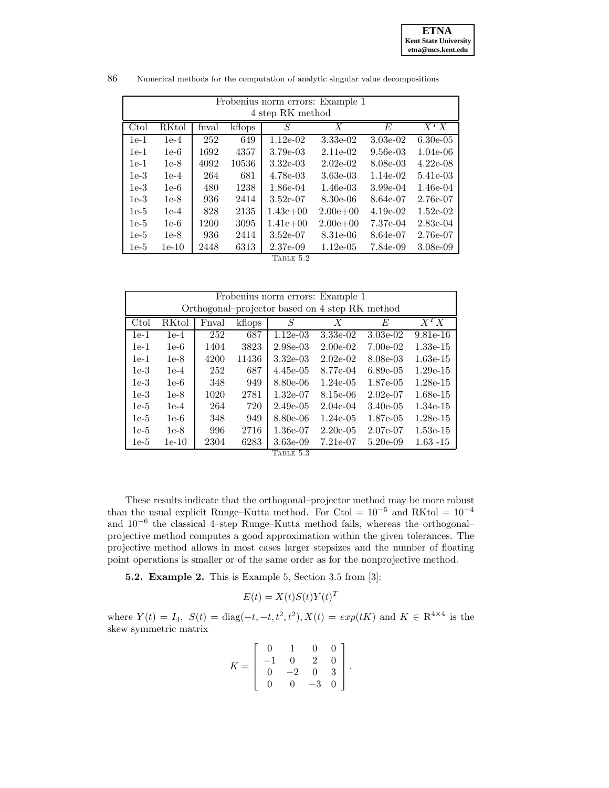| Frobenius norm errors: Example 1 |                  |       |        |             |                  |            |             |  |  |  |
|----------------------------------|------------------|-------|--------|-------------|------------------|------------|-------------|--|--|--|
|                                  | 4 step RK method |       |        |             |                  |            |             |  |  |  |
| Ctol                             | <b>RKtol</b>     | fnval | kflops | S           | $\boldsymbol{X}$ | E          | $X^T X$     |  |  |  |
| $1e-1$                           | $1e-4$           | 252   | 649    | $1.12e-02$  | 3.33e-02         | $3.03e-02$ | $6.30e-0.5$ |  |  |  |
| $1e-1$                           | $1e-6$           | 1692  | 4357   | 3.79e-03    | $2.11e-02$       | $9.56e-03$ | $1.04e-06$  |  |  |  |
| $1e-1$                           | 1e-8             | 4092  | 10536  | $3.32e-0.3$ | $2.02e-02$       | 8.08e-03   | $4.22e-08$  |  |  |  |
| $1e-3$                           | $1e-4$           | 264   | 681    | 4.78e-03    | 3.63e-03         | $1.14e-02$ | 5.41e-03    |  |  |  |
| $1e-3$                           | $1e-6$           | 480   | 1238   | 1.86e-04    | $1.46e-03$       | $3.99e-04$ | $1.46e-04$  |  |  |  |
| $1e-3$                           | $1e-8$           | 936   | 2414   | $3.52e-07$  | $8.30e-06$       | 8.64e-07   | 2.76e-07    |  |  |  |
| $1e-5$                           | $1e-4$           | 828   | 2135   | $1.43e+00$  | $2.00e + 00$     | $4.19e-02$ | $1.52e-02$  |  |  |  |
| $1e-5$                           | $1e-6$           | 1200  | 3095   | $1.41e+00$  | $2.00e + 00$     | 7.37e-04   | $2.83e-04$  |  |  |  |
| $1e-5$                           | $1e-8$           | 936   | 2414   | $3.52e-07$  | 8.31e-06         | 8.64e-07   | 2.76e-07    |  |  |  |
| $1e-5$                           | $1e-10$          | 2448  | 6313   | 2.37e-09    | $1.12e-0.5$      | 7.84e-09   | $3.08e-0.9$ |  |  |  |
|                                  | TABLE 5.2        |       |        |             |                  |            |             |  |  |  |

86 Numerical methods for the computation of analytic singular value decompositions

| Frobenius norm errors: Example 1               |         |       |        |                                 |             |             |             |  |  |
|------------------------------------------------|---------|-------|--------|---------------------------------|-------------|-------------|-------------|--|--|
| Orthogonal-projector based on 4 step RK method |         |       |        |                                 |             |             |             |  |  |
| Ctol                                           | RKtol   | Fnval | kflops | S                               | X           | $F_{i}$     | $X^TX$      |  |  |
| $1e-1$                                         | $1e-4$  | 252   | 687    | $1.12e-03$                      | 3.33e-02    | $3.03e-02$  | $9.81e-16$  |  |  |
| $1e-1$                                         | $1e-6$  | 1404  | 3823   | 2.98e-03                        | $2.00e-02$  | $7.00e-02$  | 1.33e-15    |  |  |
| $1e-1$                                         | $1e-8$  | 4200  | 11436  | $3.32e-03$                      | $2.02e-02$  | 8.08e-03    | 1.63e-15    |  |  |
| $1e-3$                                         | $1e-4$  | 252   | 687    | $4.45e-05$                      | 8.77e-04    | $6.89e-0.5$ | $1.29e-15$  |  |  |
| $1e-3$                                         | $1e-6$  | 348   | 949    | 8.80e-06                        | $1.24e-0.5$ | 1.87e-05    | $1.28e-15$  |  |  |
| $1e-3$                                         | $1e-8$  | 1020  | 2781   | $1.32e-07$                      | 8.15e-06    | $2.02e-07$  | 1.68e-15    |  |  |
| $1e-5$                                         | $1e-4$  | 264   | 720    | $2.49e-0.5$                     | $2.04e-04$  | $3.40e-0.5$ | 1.34e-15    |  |  |
| $1e-5$                                         | $1e-6$  | 348   | 949    | 8.80e-06                        | $1.24e-0.5$ | 1.87e-05    | 1.28e-15    |  |  |
| $1e-5$                                         | $1e-8$  | 996   | 2716   | 1.36e-07                        | $2.20e-0.5$ | 2.07e-07    | 1.53e-15    |  |  |
| $1e-5$                                         | $1e-10$ | 2304  | 6283   | 3.63e-09<br>$\pi$ , nr n $\eta$ | 7.21e-07    | $5.20e-0.9$ | $1.63 - 15$ |  |  |

Table 5.3

These results indicate that the orthogonal–projector method may be more robust than the usual explicit Runge–Kutta method. For Ctol =  $10^{-5}$  and RKtol =  $10^{-4}$ and 10−<sup>6</sup> the classical 4–step Runge–Kutta method fails, whereas the orthogonal– projective method computes a good approximation within the given tolerances. The projective method allows in most cases larger stepsizes and the number of floating point operations is smaller or of the same order as for the nonprojective method.

**5.2. Example 2.** This is Example 5, Section 3.5 from [3]:

$$
E(t) = X(t)S(t)Y(t)^T
$$

where  $Y(t) = I_4$ ,  $S(t) = \text{diag}(-t, -t, t^2, t^2)$ ,  $X(t) = exp(tK)$  and  $K \in \mathbb{R}^{4 \times 4}$  is the skew symmetric matrix

$$
K = \left[ \begin{array}{rrrr} 0 & 1 & 0 & 0 \\ -1 & 0 & 2 & 0 \\ 0 & -2 & 0 & 3 \\ 0 & 0 & -3 & 0 \end{array} \right].
$$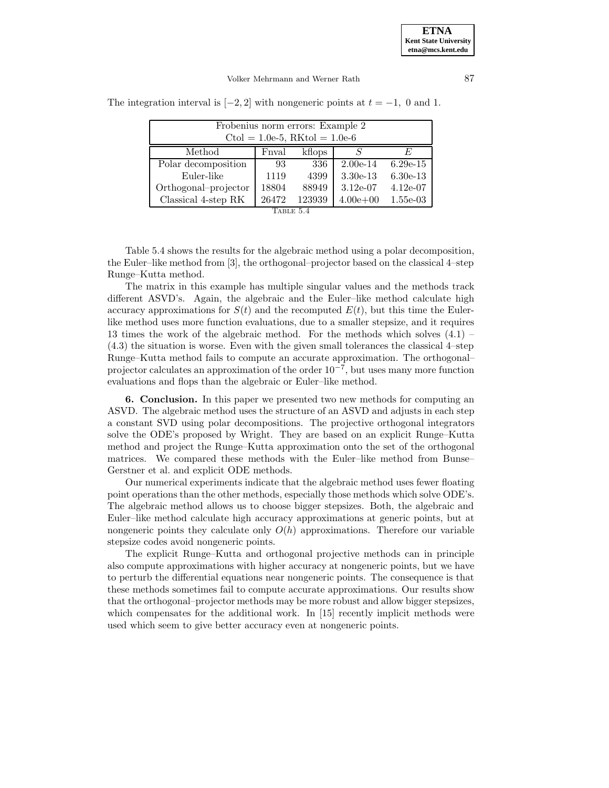| Frobenius norm errors: Example 2<br>$Ctol = 1.0e-5$ , RKtol = 1.0e-6 |       |        |            |            |  |  |  |  |  |
|----------------------------------------------------------------------|-------|--------|------------|------------|--|--|--|--|--|
| Method                                                               | Fnval | kflops | S          | F,         |  |  |  |  |  |
| Polar decomposition                                                  | 93    | 336    | $2.00e-14$ | $6.29e-15$ |  |  |  |  |  |
| Euler-like                                                           | 1119  | 4399   | $3.30e-13$ | $6.30e-13$ |  |  |  |  |  |
| Orthogonal-projector                                                 | 18804 | 88949  | $3.12e-07$ | $4.12e-07$ |  |  |  |  |  |
| 123939<br>Classical 4-step RK<br>26472<br>$4.00e + 00$<br>$1.55e-03$ |       |        |            |            |  |  |  |  |  |
| TABLE 5.4                                                            |       |        |            |            |  |  |  |  |  |

The integration interval is  $[-2, 2]$  with nongeneric points at  $t = -1$ , 0 and 1.

Table 5.4 shows the results for the algebraic method using a polar decomposition, the Euler–like method from [3], the orthogonal–projector based on the classical 4–step Runge–Kutta method.

The matrix in this example has multiple singular values and the methods track different ASVD's. Again, the algebraic and the Euler–like method calculate high accuracy approximations for  $S(t)$  and the recomputed  $E(t)$ , but this time the Eulerlike method uses more function evaluations, due to a smaller stepsize, and it requires 13 times the work of the algebraic method. For the methods which solves (4.1) – (4.3) the situation is worse. Even with the given small tolerances the classical 4–step Runge–Kutta method fails to compute an accurate approximation. The orthogonal– projector calculates an approximation of the order  $10^{-7}$ , but uses many more function evaluations and flops than the algebraic or Euler–like method.

**6. Conclusion.** In this paper we presented two new methods for computing an ASVD. The algebraic method uses the structure of an ASVD and adjusts in each step a constant SVD using polar decompositions. The projective orthogonal integrators solve the ODE's proposed by Wright. They are based on an explicit Runge–Kutta method and project the Runge–Kutta approximation onto the set of the orthogonal matrices. We compared these methods with the Euler–like method from Bunse– Gerstner et al. and explicit ODE methods.

Our numerical experiments indicate that the algebraic method uses fewer floating point operations than the other methods, especially those methods which solve ODE's. The algebraic method allows us to choose bigger stepsizes. Both, the algebraic and Euler–like method calculate high accuracy approximations at generic points, but at nongeneric points they calculate only  $O(h)$  approximations. Therefore our variable stepsize codes avoid nongeneric points.

The explicit Runge–Kutta and orthogonal projective methods can in principle also compute approximations with higher accuracy at nongeneric points, but we have to perturb the differential equations near nongeneric points. The consequence is that these methods sometimes fail to compute accurate approximations. Our results show that the orthogonal–projector methods may be more robust and allow bigger stepsizes, which compensates for the additional work. In [15] recently implicit methods were used which seem to give better accuracy even at nongeneric points.